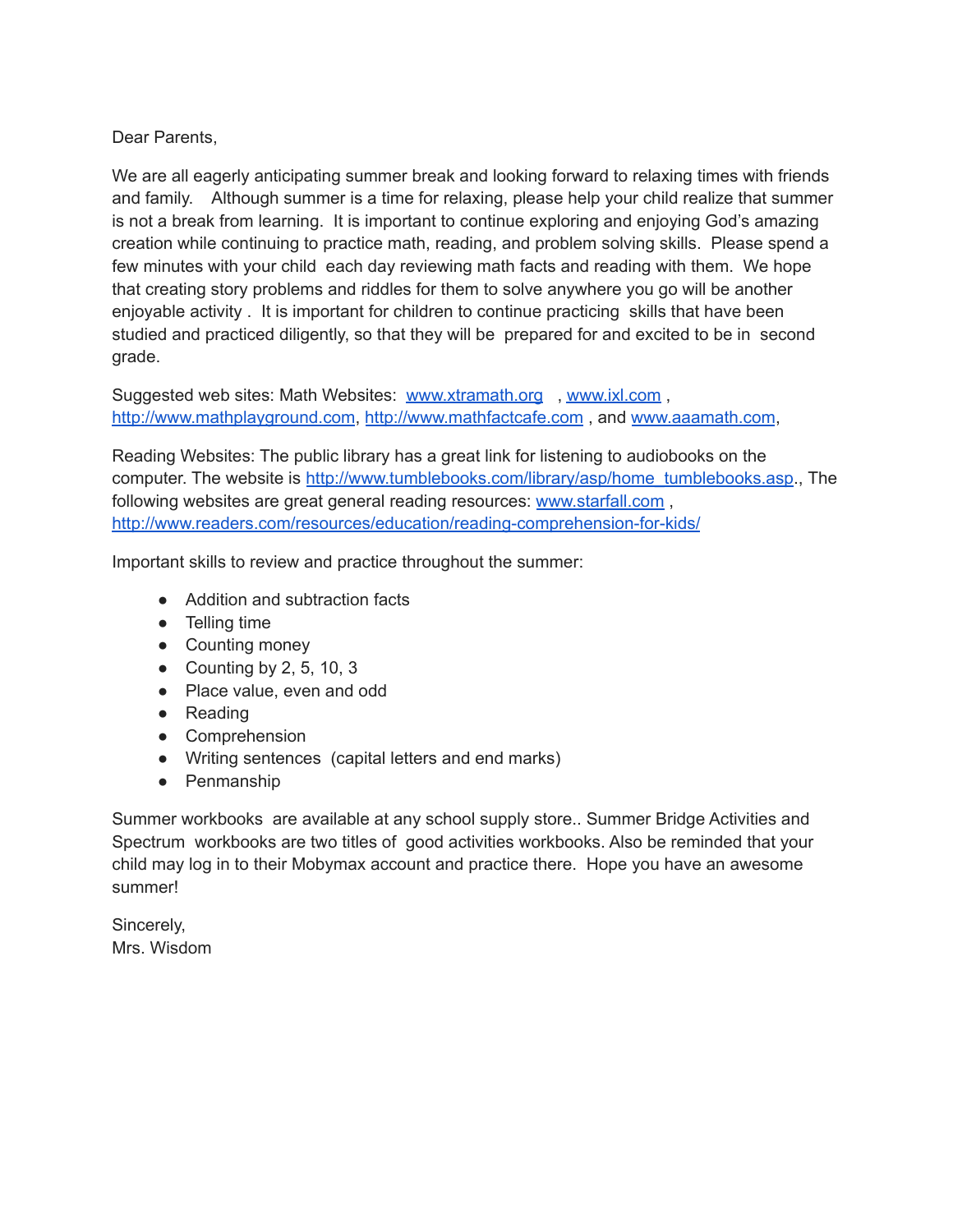## Dear Parents,

We are all eagerly anticipating summer break and looking forward to relaxing times with friends and family. Although summer is a time for relaxing, please help your child realize that summer is not a break from learning. It is important to continue exploring and enjoying God's amazing creation while continuing to practice math, reading, and problem solving skills. Please spend a few minutes with your child each day reviewing math facts and reading with them. We hope that creating story problems and riddles for them to solve anywhere you go will be another enjoyable activity . It is important for children to continue practicing skills that have been studied and practiced diligently, so that they will be prepared for and excited to be in second grade.

Suggested web sites: Math Websites: [www.xtramath.org](http://www.xtramath.org/) , [www.ixl.com](http://www.ixl.com/) , [http://www.mathplayground.com](http://www.mathplayground.com/), [http://www.mathfactcafe.com](http://www.mathfactcafe.com/) , and [www.aaamath.com](http://www.aaamath.com/),

Reading Websites: The public library has a great link for listening to audiobooks on the computer. The website is [http://www.tumblebooks.com/library/asp/home\\_tumblebooks.asp](http://www.tumblebooks.com/library/asp/home_tumblebooks.asp)., The following websites are great general reading resources: [www.starfall.com](http://www.starfall.com/) , <http://www.readers.com/resources/education/reading-comprehension-for-kids/>

Important skills to review and practice throughout the summer:

- Addition and subtraction facts
- Telling time
- Counting money
- Counting by 2, 5, 10, 3
- Place value, even and odd
- Reading
- Comprehension
- Writing sentences (capital letters and end marks)
- Penmanship

Summer workbooks are available at any school supply store.. Summer Bridge Activities and Spectrum workbooks are two titles of good activities workbooks. Also be reminded that your child may log in to their Mobymax account and practice there. Hope you have an awesome summer!

Sincerely, Mrs. Wisdom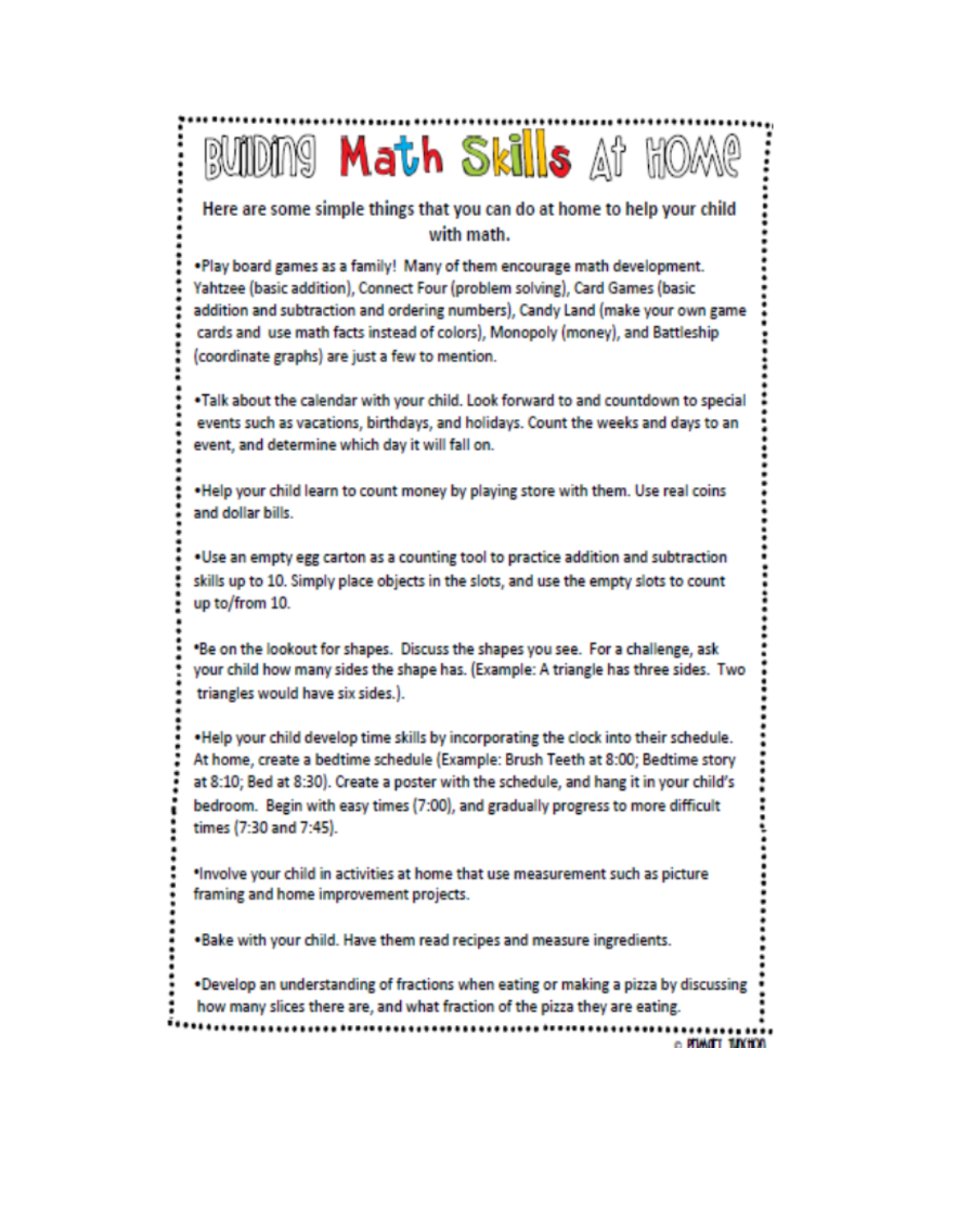## **RUIDING Math Skills** At HOME Here are some simple things that you can do at home to help your child with math. . Play board games as a family! Many of them encourage math development. Yahtzee (basic addition), Connect Four (problem solving), Card Games (basic addition and subtraction and ordering numbers), Candy Land (make your own game cards and use math facts instead of colors), Monopoly (money), and Battleship (coordinate graphs) are just a few to mention. . Talk about the calendar with your child. Look forward to and countdown to special events such as vacations, birthdays, and holidays. Count the weeks and days to an event, and determine which day it will fall on. . Help your child learn to count money by playing store with them. Use real coins and dollar bills. . Use an empty egg carton as a counting tool to practice addition and subtraction skills up to 10. Simply place objects in the slots, and use the empty slots to count up to/from 10. \*Be on the lookout for shapes. Discuss the shapes you see. For a challenge, ask your child how many sides the shape has. (Example: A triangle has three sides. Two triangles would have six sides.). . Help your child develop time skills by incorporating the clock into their schedule. At home, create a bedtime schedule (Example: Brush Teeth at 8:00; Bedtime story at 8:10; Bed at 8:30). Create a poster with the schedule, and hang it in your child's bedroom. Begin with easy times (7:00), and gradually progress to more difficult times (7:30 and 7:45). \*Involve your child in activities at home that use measurement such as picture framing and home improvement projects. . Bake with your child. Have them read recipes and measure ingredients.

. Develop an understanding of fractions when eating or making a pizza by discussing

how many slices there are, and what fraction of the pizza they are eating.

o PIMOTT TUNTOR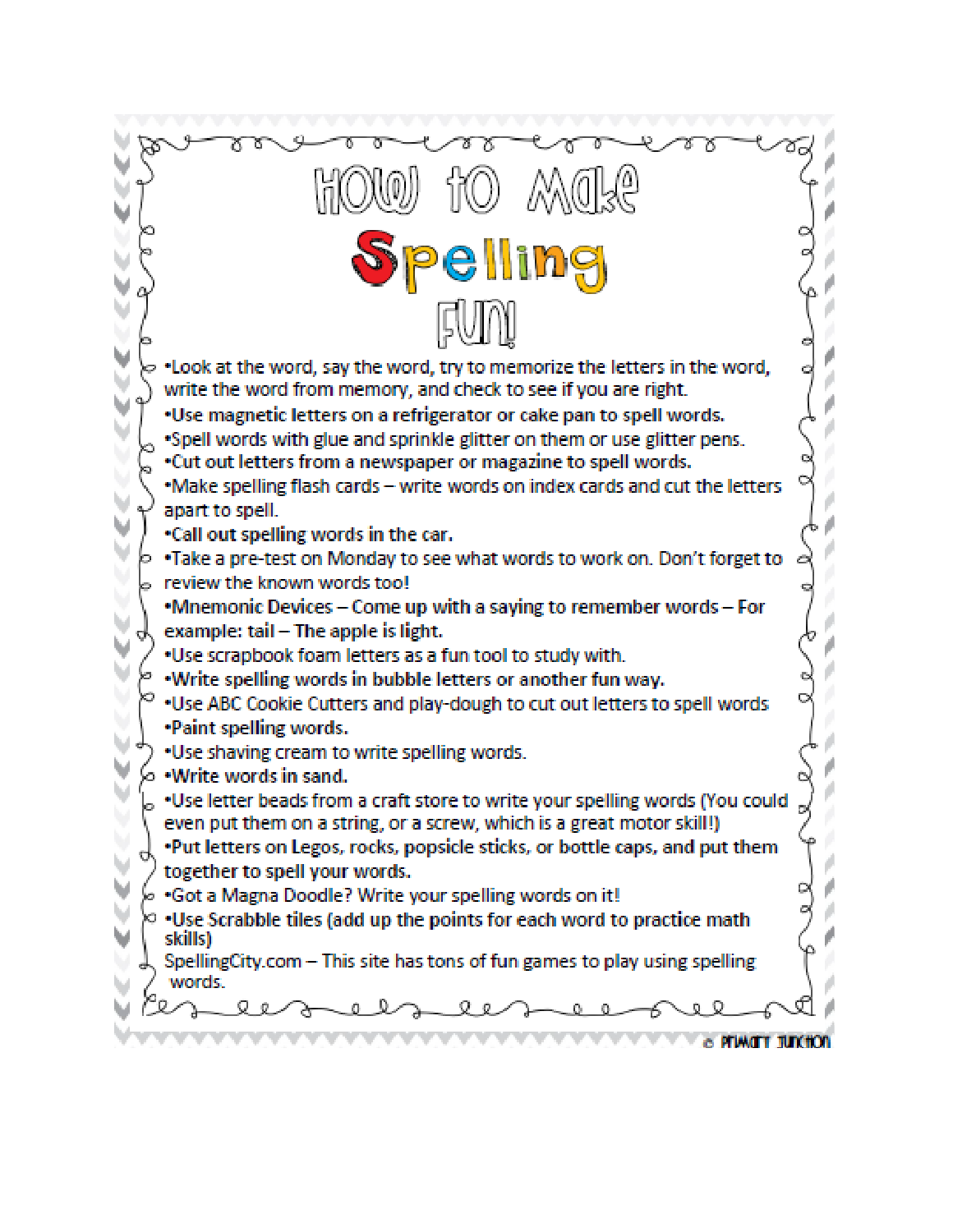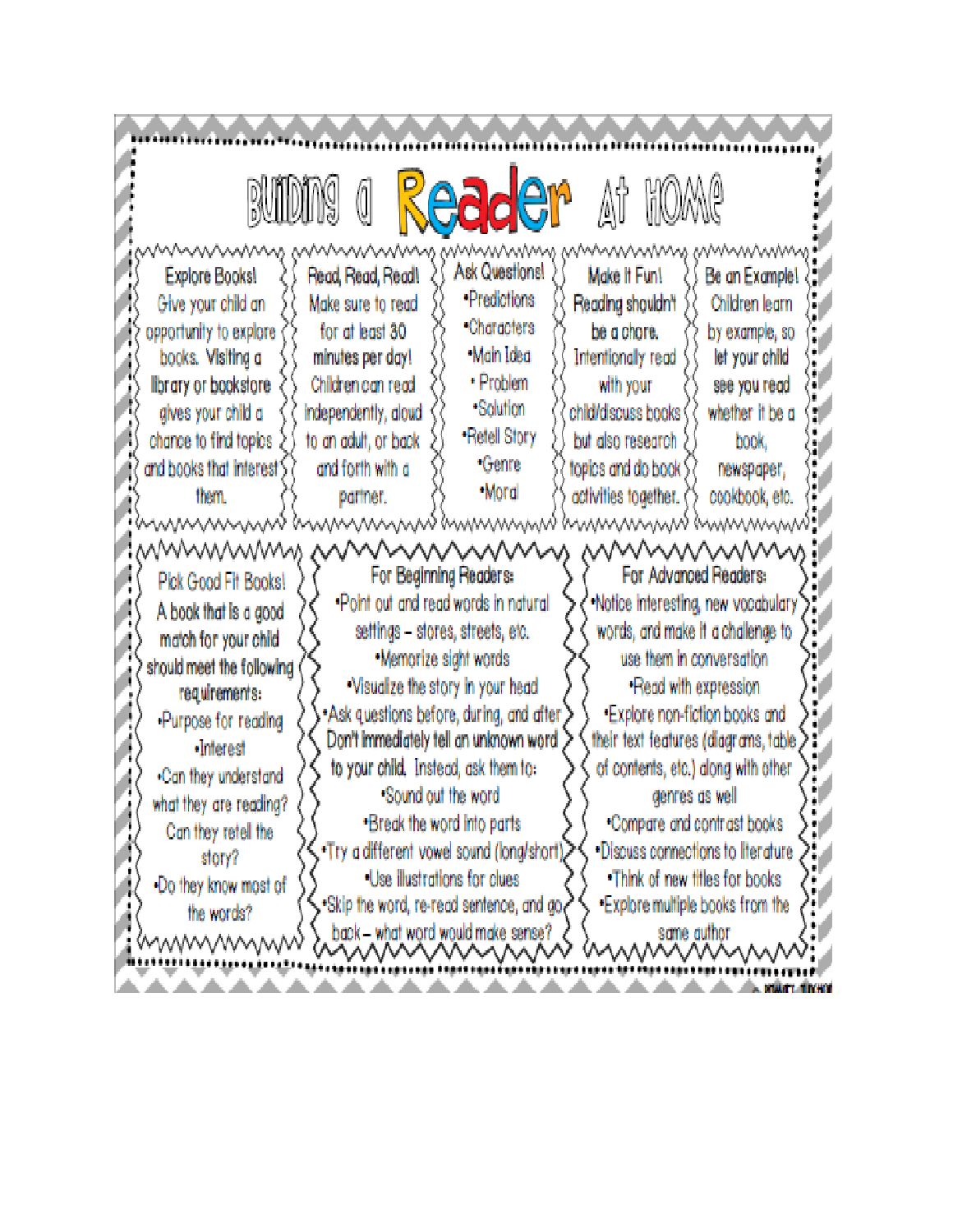